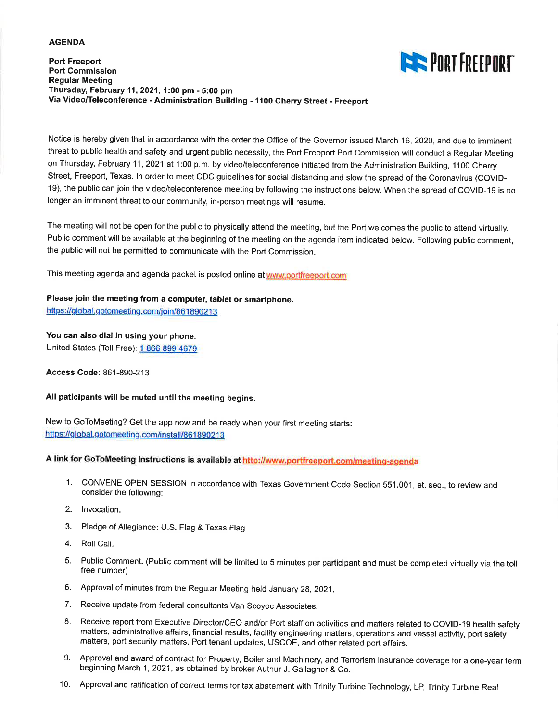#### **AGENDA**

### **Port Freeport Port Commission Regular Meeting** Thursday, February 11, 2021, 1:00 pm - 5:00 pm Via Video/Teleconference - Administration Building - 1100 Cherry Street - Freeport



Notice is hereby given that in accordance with the order the Office of the Governor issued March 16, 2020, and due to imminent threat to public health and safety and urgent public necessity, the Port Freeport Port Commission will conduct a Regular Meeting on Thursday, February 11, 2021 at 1:00 p.m. by video/teleconference initiated from the Administration Building, 1100 Cherry Street, Freeport, Texas. In order to meet CDC guidelines for social distancing and slow the spread of the Coronavirus (COVID-19), the public can join the video/teleconference meeting by following the instructions below. When the spread of COVID-19 is no longer an imminent threat to our community, in-person meetings will resume.

The meeting will not be open for the public to physically attend the meeting, but the Port welcomes the public to attend virtually. Public comment will be available at the beginning of the meeting on the agenda item indicated below. Following public comment, the public will not be permitted to communicate with the Port Commission.

This meeting agenda and agenda packet is posted online at www.portfreeport.com

## Please join the meeting from a computer, tablet or smartphone.

https://global.gotomeeting.com/join/861890213

## You can also dial in using your phone.

United States (Toll Free): 1 866 899 4679

Access Code: 861-890-213

### All paticipants will be muted until the meeting begins.

New to GoToMeeting? Get the app now and be ready when your first meeting starts: https://global.gotomeeting.com/install/861890213

A link for GoToMeeting Instructions is available at http://www.portfreeport.com/meeting-agenda

- 1. CONVENE OPEN SESSION in accordance with Texas Government Code Section 551.001, et. seq., to review and consider the following:
- 2. Invocation.
- 3. Pledge of Allegiance: U.S. Flag & Texas Flag
- 4. Roll Call.
- 5. Public Comment. (Public comment will be limited to 5 minutes per participant and must be completed virtually via the toll free number)
- 6. Approval of minutes from the Regular Meeting held January 28, 2021.
- 7. Receive update from federal consultants Van Scoyoc Associates.
- 8. Receive report from Executive Director/CEO and/or Port staff on activities and matters related to COVID-19 health safety matters, administrative affairs, financial results, facility engineering matters, operations and vessel activity, port safety matters, port security matters, Port tenant updates, USCOE, and other related port affairs.
- 9. Approval and award of contract for Property, Boiler and Machinery, and Terrorism insurance coverage for a one-year term beginning March 1, 2021, as obtained by broker Authur J. Gallagher & Co.
- 10. Approval and ratification of correct terms for tax abatement with Trinity Turbine Technology, LP, Trinity Turbine Real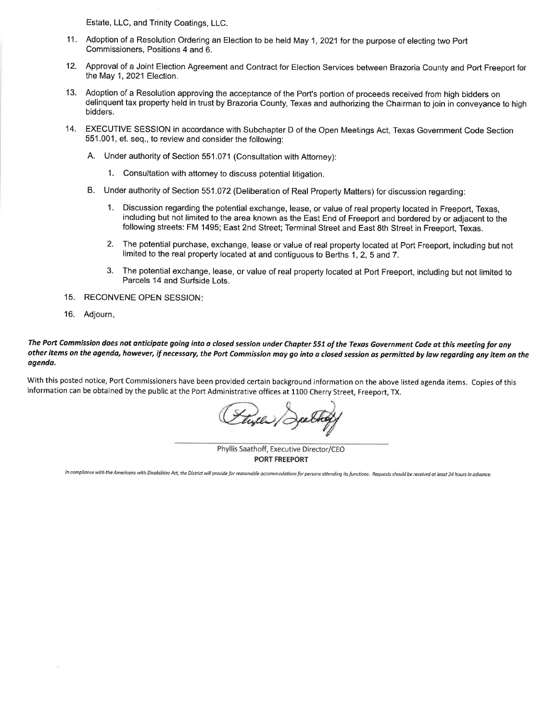Estate, LLC, and Trinity Coatings, LLC.

- 11. Adoption of a Resolution Ordering an Election to be held May 1, 2021 for the purpose of electing two Port Commissioners, Positions 4 and 6.
- $12.$ Approval of a Joint Election Agreement and Contract for Election Services between Brazoria County and Port Freeport for the May 1, 2021 Election.
- 13. Adoption of a Resolution approving the acceptance of the Port's portion of proceeds received from high bidders on delinquent tax property held in trust by Brazoria County, Texas and authorizing the Chairman to join in conveyance to high bidders.
- 14. EXECUTIVE SESSION in accordance with Subchapter D of the Open Meetings Act, Texas Government Code Section 551.001, et. seq., to review and consider the following:
	- A. Under authority of Section 551.071 (Consultation with Attorney):
		- 1. Consultation with attorney to discuss potential litigation.
	- B. Under authority of Section 551.072 (Deliberation of Real Property Matters) for discussion regarding:
		- 1. Discussion regarding the potential exchange, lease, or value of real property located in Freeport, Texas, including but not limited to the area known as the East End of Freeport and bordered by or adjacent to the following streets: FM 1495; East 2nd Street; Terminal Street and East 8th Street in Freeport, Texas.
		- The potential purchase, exchange, lease or value of real property located at Port Freeport, including but not  $2.$ limited to the real property located at and contiguous to Berths 1, 2, 5 and 7.
		- $3<sub>1</sub>$ The potential exchange, lease, or value of real property located at Port Freeport, including but not limited to Parcels 14 and Surfside Lots.
- 15. RECONVENE OPEN SESSION:
- $16.$ Adjourn.

### The Port Commission does not anticipate going into a closed session under Chapter 551 of the Texas Government Code at this meeting for any other items on the agenda, however, if necessary, the Port Commission may go into a closed session as permitted by law regarding any item on the agenda.

With this posted notice, Port Commissioners have been provided certain background information on the above listed agenda items. Copies of this information can be obtained by the public at the Port Administrative offices at 1100 Cherry Street, Freeport, TX.

Phyllis Saathoff, Executive Director/CEO **PORT FREEPORT** 

In compliance with the Americans with Disabilities Act, the District will provide for reasonable accommodations for persons attending its functions. Requests should be received at least 24 hours in advance.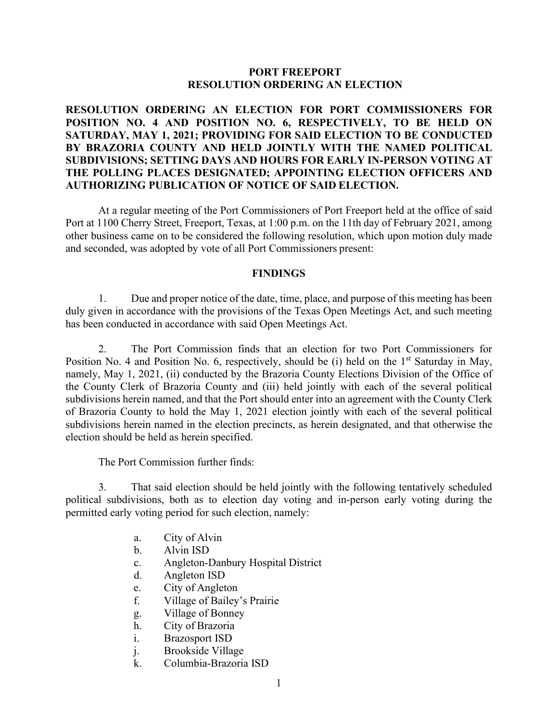## **PORT FREEPORT RESOLUTION ORDERING AN ELECTION**

## **RESOLUTION ORDERING AN ELECTION FOR PORT COMMISSIONERS FOR POSITION NO. 4 AND POSITION NO. 6, RESPECTIVELY, TO BE HELD ON SATURDAY, MAY 1, 2021; PROVIDING FOR SAID ELECTION TO BE CONDUCTED BY BRAZORIA COUNTY AND HELD JOINTLY WITH THE NAMED POLITICAL SUBDIVISIONS; SETTING DAYS AND HOURS FOR EARLY IN-PERSON VOTING AT THE POLLING PLACES DESIGNATED; APPOINTING ELECTION OFFICERS AND AUTHORIZING PUBLICATION OF NOTICE OF SAID ELECTION.**

At a regular meeting of the Port Commissioners of Port Freeport held at the office of said Port at 1100 Cherry Street, Freeport, Texas, at 1:00 p.m. on the 11th day of February 2021, among other business came on to be considered the following resolution, which upon motion duly made and seconded, was adopted by vote of all Port Commissioners present:

### **FINDINGS**

1. Due and proper notice of the date, time, place, and purpose of this meeting has been duly given in accordance with the provisions of the Texas Open Meetings Act, and such meeting has been conducted in accordance with said Open Meetings Act.

2. The Port Commission finds that an election for two Port Commissioners for Position No. 4 and Position No. 6, respectively, should be (i) held on the  $1<sup>st</sup>$  Saturday in May, namely, May 1, 2021, (ii) conducted by the Brazoria County Elections Division of the Office of the County Clerk of Brazoria County and (iii) held jointly with each of the several political subdivisions herein named, and that the Port should enter into an agreement with the County Clerk of Brazoria County to hold the May 1, 2021 election jointly with each of the several political subdivisions herein named in the election precincts, as herein designated, and that otherwise the election should be held as herein specified.

The Port Commission further finds:

3. That said election should be held jointly with the following tentatively scheduled political subdivisions, both as to election day voting and in-person early voting during the permitted early voting period for such election, namely:

- a. City of Alvin
- b. Alvin ISD
- c. Angleton-Danbury Hospital District
- d. Angleton ISD
- e. City of Angleton
- f. Village of Bailey's Prairie
- g. Village of Bonney
- h. City of Brazoria
- i. Brazosport ISD
- j. Brookside Village
- k. Columbia-Brazoria ISD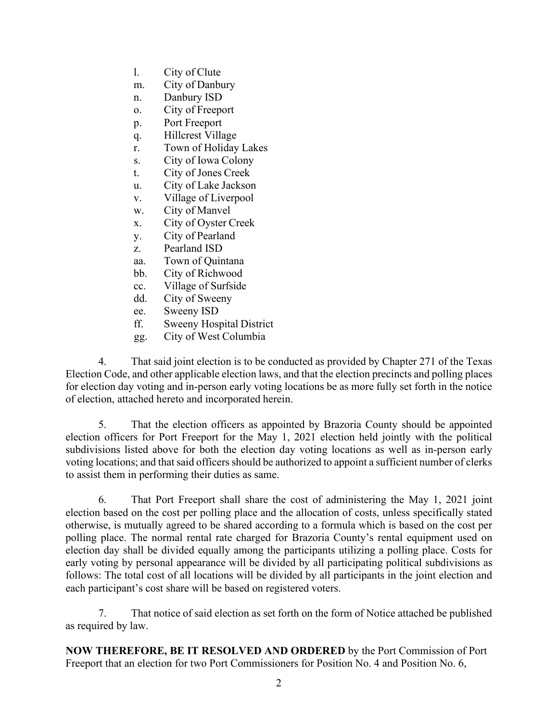- l. City of Clute
- m. City of Danbury
- n. Danbury ISD
- o. City of Freeport
- p. Port Freeport
- q. Hillcrest Village
- r. Town of Holiday Lakes
- s. City of Iowa Colony
- t. City of Jones Creek
- u. City of Lake Jackson
- v. Village of Liverpool
- w. City of Manvel
- x. City of Oyster Creek
- y. City of Pearland
- z. Pearland ISD
- aa. Town of Quintana
- bb. City of Richwood
- cc. Village of Surfside
- dd. City of Sweeny
- ee. Sweeny ISD
- ff. Sweeny Hospital District
- gg. City of West Columbia

4. That said joint election is to be conducted as provided by Chapter 271 of the Texas Election Code, and other applicable election laws, and that the election precincts and polling places for election day voting and in-person early voting locations be as more fully set forth in the notice of election, attached hereto and incorporated herein.

5. That the election officers as appointed by Brazoria County should be appointed election officers for Port Freeport for the May 1, 2021 election held jointly with the political subdivisions listed above for both the election day voting locations as well as in-person early voting locations; and that said officers should be authorized to appoint a sufficient number of clerks to assist them in performing their duties as same.

6. That Port Freeport shall share the cost of administering the May 1, 2021 joint election based on the cost per polling place and the allocation of costs, unless specifically stated otherwise, is mutually agreed to be shared according to a formula which is based on the cost per polling place. The normal rental rate charged for Brazoria County's rental equipment used on election day shall be divided equally among the participants utilizing a polling place. Costs for early voting by personal appearance will be divided by all participating political subdivisions as follows: The total cost of all locations will be divided by all participants in the joint election and each participant's cost share will be based on registered voters.

7. That notice of said election as set forth on the form of Notice attached be published as required by law.

**NOW THEREFORE, BE IT RESOLVED AND ORDERED** by the Port Commission of Port Freeport that an election for two Port Commissioners for Position No. 4 and Position No. 6,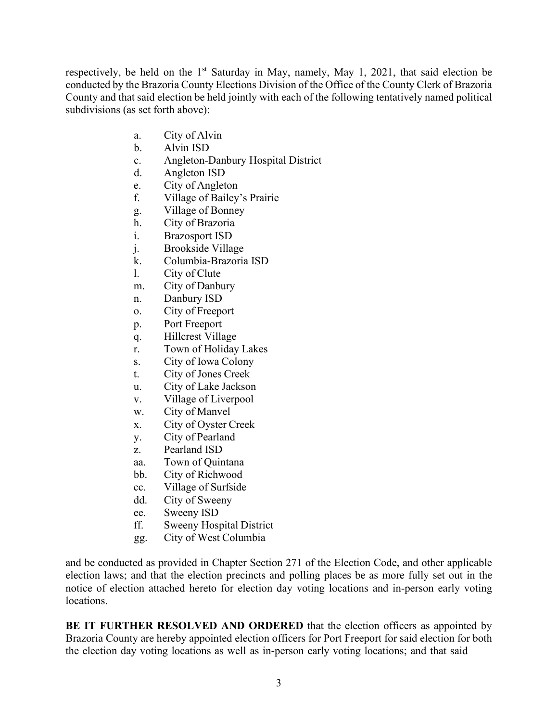respectively, be held on the  $1<sup>st</sup>$  Saturday in May, namely, May 1, 2021, that said election be conducted by the Brazoria County Elections Division of the Office of the County Clerk of Brazoria County and that said election be held jointly with each of the following tentatively named political subdivisions (as set forth above):

- a. City of Alvin
- b. Alvin ISD
- c. Angleton-Danbury Hospital District
- d. Angleton ISD
- e. City of Angleton
- f. Village of Bailey's Prairie
- g. Village of Bonney
- h. City of Brazoria
- i. Brazosport ISD
- j. Brookside Village
- k. Columbia-Brazoria ISD
- l. City of Clute
- m. City of Danbury
- n. Danbury ISD
- o. City of Freeport
- p. Port Freeport
- q. Hillcrest Village
- r. Town of Holiday Lakes
- s. City of Iowa Colony
- t. City of Jones Creek
- u. City of Lake Jackson
- v. Village of Liverpool
- w. City of Manvel
- x. City of Oyster Creek
- y. City of Pearland
- z. Pearland ISD
- aa. Town of Quintana
- bb. City of Richwood
- cc. Village of Surfside
- dd. City of Sweeny
- ee. Sweeny ISD
- ff. Sweeny Hospital District
- gg. City of West Columbia

and be conducted as provided in Chapter Section 271 of the Election Code, and other applicable election laws; and that the election precincts and polling places be as more fully set out in the notice of election attached hereto for election day voting locations and in-person early voting locations.

**BE IT FURTHER RESOLVED AND ORDERED** that the election officers as appointed by Brazoria County are hereby appointed election officers for Port Freeport for said election for both the election day voting locations as well as in-person early voting locations; and that said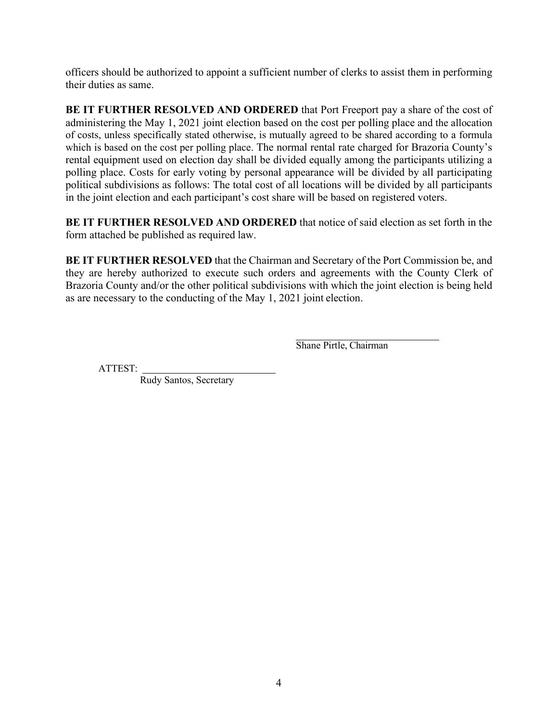officers should be authorized to appoint a sufficient number of clerks to assist them in performing their duties as same.

**BE IT FURTHER RESOLVED AND ORDERED** that Port Freeport pay a share of the cost of administering the May 1, 2021 joint election based on the cost per polling place and the allocation of costs, unless specifically stated otherwise, is mutually agreed to be shared according to a formula which is based on the cost per polling place. The normal rental rate charged for Brazoria County's rental equipment used on election day shall be divided equally among the participants utilizing a polling place. Costs for early voting by personal appearance will be divided by all participating political subdivisions as follows: The total cost of all locations will be divided by all participants in the joint election and each participant's cost share will be based on registered voters.

**BE IT FURTHER RESOLVED AND ORDERED** that notice of said election as set forth in the form attached be published as required law.

**BE IT FURTHER RESOLVED** that the Chairman and Secretary of the Port Commission be, and they are hereby authorized to execute such orders and agreements with the County Clerk of Brazoria County and/or the other political subdivisions with which the joint election is being held as are necessary to the conducting of the May 1, 2021 joint election.

Shane Pirtle, Chairman

ATTEST:

Rudy Santos, Secretary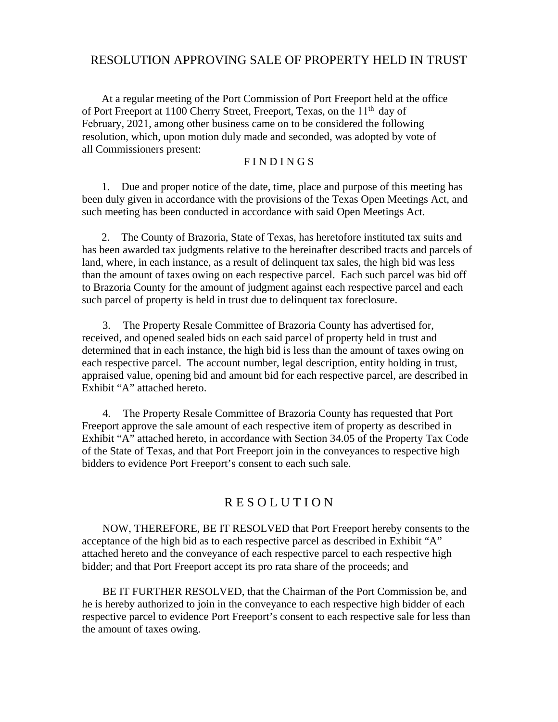# RESOLUTION APPROVING SALE OF PROPERTY HELD IN TRUST

At a regular meeting of the Port Commission of Port Freeport held at the office of Port Freeport at 1100 Cherry Street, Freeport, Texas, on the 11<sup>th</sup> day of February, 2021, among other business came on to be considered the following resolution, which, upon motion duly made and seconded, was adopted by vote of all Commissioners present:

### F I N D I N G S

1. Due and proper notice of the date, time, place and purpose of this meeting has been duly given in accordance with the provisions of the Texas Open Meetings Act, and such meeting has been conducted in accordance with said Open Meetings Act.

2. The County of Brazoria, State of Texas, has heretofore instituted tax suits and has been awarded tax judgments relative to the hereinafter described tracts and parcels of land, where, in each instance, as a result of delinquent tax sales, the high bid was less than the amount of taxes owing on each respective parcel. Each such parcel was bid off to Brazoria County for the amount of judgment against each respective parcel and each such parcel of property is held in trust due to delinquent tax foreclosure.

3. The Property Resale Committee of Brazoria County has advertised for, received, and opened sealed bids on each said parcel of property held in trust and determined that in each instance, the high bid is less than the amount of taxes owing on each respective parcel. The account number, legal description, entity holding in trust, appraised value, opening bid and amount bid for each respective parcel, are described in Exhibit "A" attached hereto.

4. The Property Resale Committee of Brazoria County has requested that Port Freeport approve the sale amount of each respective item of property as described in Exhibit "A" attached hereto, in accordance with Section 34.05 of the Property Tax Code of the State of Texas, and that Port Freeport join in the conveyances to respective high bidders to evidence Port Freeport's consent to each such sale.

# R E S O L U T I O N

NOW, THEREFORE, BE IT RESOLVED that Port Freeport hereby consents to the acceptance of the high bid as to each respective parcel as described in Exhibit "A" attached hereto and the conveyance of each respective parcel to each respective high bidder; and that Port Freeport accept its pro rata share of the proceeds; and

 BE IT FURTHER RESOLVED, that the Chairman of the Port Commission be, and he is hereby authorized to join in the conveyance to each respective high bidder of each respective parcel to evidence Port Freeport's consent to each respective sale for less than the amount of taxes owing.